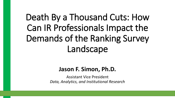# Death By a Thousand Cuts: How Can IR Professionals Impact the Demands of the Ranking Survey Landscape

### **Jason F. Simon, Ph.D.**

Assistant Vice President *Data, Analytics, and Institutional Research*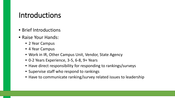### Introductions

- Brief Introductions
- Raise Your Hands:
	- 2 Year Campus
	- 4 Year Campus
	- Work in IR, Other Campus Unit, Vendor, State Agency
	- 0-2 Years Experience, 3-5, 6-8, 9+ Years
	- Have direct responsibility for responding to rankings/surveys
	- Supervise staff who respond to rankings
	- Have to communicate ranking/survey related issues to leadership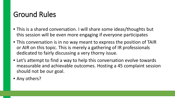### Ground Rules

- This is a shared conversation. I will share some ideas/thoughts but this session will be even more engaging if everyone participates
- This conversation is in no way meant to express the position of TAIR or AIR on this topic. This is merely a gathering of IR professionals dedicated to fairly discussing a very thorny issue.
- Let's attempt to find a way to help this conversation evolve towards measurable and achievable outcomes. Hosting a 45 complaint session should not be our goal.
- Any others?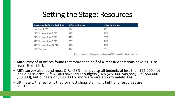### Setting the Stage: Resources

| <b>Director and Professional OIR Staff</b> | 2-Year Institutions | <b>4-Year Institutions</b> |
|--------------------------------------------|---------------------|----------------------------|
| Less than 1 FTE                            | 1%                  | 1%                         |
| 1 FTE to fewer than 2 FTE                  | 17%                 | 18%                        |
| 2 FTE to fewer than 3 FTE                  | 41%                 | 35%                        |
| 3 FTE to fewer than 5 FTE                  | 28%                 | 26%                        |
| 5 FTE to fewer than 10 FTE                 | 12%                 | 17%                        |
| 10 FTE or more                             | 1%                  | 3%                         |

 $N = 1,261$  responses (394 responses from 2-year and 867 responses from 4-year institutions)

- AIR survey of IR offices found that more than half of 4-Year IR operations have 2 FTE to<br>fewer than 3 FTE
- AIR's survey also found most OIRs (68%) manage small budgets of less than \$25,000, not including salaries. A few OIRs have larger budgets (16% \$25,000-\$49,999; 11% \$50,000-\$99,999), but budgets of \$100,000 or more are ra
- Ultimately, the reality is that for most shops staffing is tight and resources are constrained.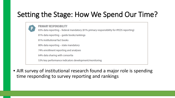### Setting the Stage: How We Spend Our Time?

**PRIMARY RESPONSIBILITY** 83% data reporting – federal mandatory (81% primary responsibility for IPEDS reporting) 81% data reporting – quide books/rankings 81% institutional fact books 80% data reporting – state mandatory 74% enrollment reporting and analyses 64% data sharing with consortia 53% key performance indicators development/monitoring

• AIR survey of institutional research found a major role is spending time responding to survey reporting and rankings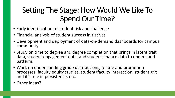### Setting The Stage: How Would We Like To Spend Our Time?

- Early identification of student risk and challenge
- Financial analysis of student success initiatives
- Development and deployment of data-on-demand dashboards for campus community
- Study on time to degree and degree completion that brings in latent trait data, student engagement data, and student finance data to understand patterns
- Work on understanding grade distributions, tenure and promotion processes, faculty equity studies, student/faculty interaction, student grit and it's role in persistence, etc.
- Other ideas?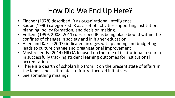## How Did We End Up Here?

- Fincher (1978) described IR as organizational intelligence
- Saupe (1990) categorized IR as a set of activities supporting institutional planning, policy formation, and decision making.
- Volkein (1999, 2008, 2011) described IR as being place bound within the confines of changes in society and in higher education
- Allen and Kazis (2007) indicated linkages with planning and budgeting leads to culture change and organizational improvement
- Most recently (2014) NILOA focused on the role of institutional research in successfully tracking student learning outcomes for institutional accreditation
- There is a dearth of scholarship from IR on the present state of affairs in the landscape as it relates to future-focused initiatives
- See something missing?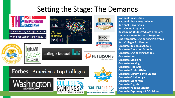### Setting the Stage: The Demands





Newsweek

**Forbes** America's Top Colleges



**NICHE** 

2017



**BEST** 

**U.S.News** 

**JSNews** 

.melnet сомрану

**Helping You Choose the Right College** 

**National Universities National Liberal Arts Colleges Regional Universities Best Online Programs Best Online Undergraduate Programs Undergraduate Business Programs Undergraduate Engineering Programs Best Colleges for Veterans Graduate Business Schools Graduate Education Schools Graduate Engineering Schools Graduate Law Graduate Medicine Graduate Nursing Graduate Fine Arts Graduate Public Affairs Graduate Library & Info Studies Graduate Criminology Graduate Economics Graduate English Graduate Political Science Graduate Psychology & 50+ More**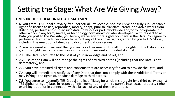### Setting the Stage: What Are We Giving Away?

### **TIMES HIGHER EDUCATION RELEASE STATEMENT**

- **6.** You grant TES Global a royalty-free, perpetual, irrevocable, non-exclusive and fully sub-licensable right and license to use, reproduce, modify, adapt, publish, translate, create derivative works from, distribute, perform and display such data (in whole or part) worldwide and/or to incorporate it in other works in any form, media, or technology now known or later developed. With respect to all Data you post to the Website, you hereby waive any moral rights you have in the Data. You agree to perform all further acts necessary to perfect any of the above rights granted by you to TES Global, including the execution of deeds and documents, at our request.
- **7.** You represent and warrant that you own or otherwise control all of the rights to the Data and can grant the rights set out above. You also represent, warrant and undertake that:
- **7.1.** The Data is accurate to the best of your knowledge and belief; and
- **7.2.** use of the Data will not infringe the rights of any third parties (including that the Data is not defamatory); and
- **7.3.** you have obtained all rights and consents that are necessary for you to provide the Data; and
- **7.4.** you will immediately notify us of any Data that does not comply with these Additional Terms or may infringe the rights of, or cause damage to third parties.
- **7.5.** You agree to indemnify TES Global and its affiliates for all claims brought by a third party against TES Global or its affiliates in respect of infringement of that third party's intellectual property rights or arising out of or in connection with a breach of any of these warranties.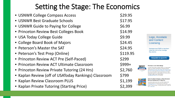### Setting the Stage: The Economics

| • USNWR College Compass Access                       | \$29.95  |
|------------------------------------------------------|----------|
| • USNWR Best Graduate Schools                        | \$17.95  |
| • USNWR Guide to Paying for College                  | \$6.99   |
| • Princeton Review Best Colleges Book                | \$14.99  |
| • USA Today College Guide                            | \$9.99   |
| • College Board Book of Majors                       | \$24.45  |
| • Peterson's Master the SAT                          | \$24.95  |
| • Peterson's Test Prep (Online)                      | \$119.95 |
| • Princeton Review ACT Pre (Self-Paced)              | \$299    |
| • Princeton Review ACT Ultimate Classroom            | \$999+   |
| • Princeton Review Private Tutoring (24 Hrs)         | \$2,760  |
| • Kaplan Review (off of USAToday Rankings) Classroom | \$799    |
| • Kaplan Review Classroom PLUS                       | \$1,199  |
| • Kaplan Private Tutoring (Starting Price)           | \$2,399  |

Logo, Accolade and Content Licensing

Marketers trust PARS to help them make the most of the coverage they receive.

**REQUEST A QUOTE** 

### Purchase a U.S. News Badge

**BEST** 

**JSNëws** 

For highly ranked schools or programs, display a "U.S. News ranked" badge on your website, advertisements or promotional materials. Check the Best High Schools, Best Colleges, Best Graduate Schools, Best Online Programs and Best Online Programs for Veterans lists to see if your school is eligible. Wright's Media handles all U.S. News badge-related questions. For badge eligibility and licensing questions, or to obtain a badge, contact Wright's Media at usnews@wrightsmedia.com or 877-652-5295.

### Order the Best Colleges or Best Graduate **Schools Guidebooks or Reprints** To purchase multiple copies of the current Best Colleges or Best

Graduate guidebooks at a significant discount, please email booksales@usnews.com. For information about purchasing individual copies in a variety of formats - including Kindle and iPad - please visit the U.S. News Store.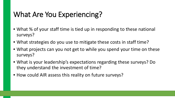### What Are You Experiencing?

- What % of your staff time is tied up in responding to these national surveys?
- What strategies do you use to mitigate these costs in staff time?
- What projects can you not get to while you spend your time on these surveys?
- What is your leadership's expectations regarding these surveys? Do they understand the investment of time?
- How could AIR assess this reality on future surveys?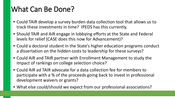### What Can Be Done?

- Could TAIR develop a survey burden data collection tool that allows us to track these investments in time? IPEDS has this currently.
- Should TAIR and AIR engage in lobbying efforts at the State and Federal levels for relief (CASE does this now for Advancement)?
- Could a doctoral student in the State's higher education programs conduct a dissertation on the hidden costs to leadership for these surveys?
- Could AIR and TAIR partner with Enrollment Management to study the impact of rankings on college selection choice?
- Could AIR ad TAIR advocate for a data collection fee for members to participate with a % of the proceeds going back to invest in professional development waivers or grants?
- What else could/should we expect from our professional associations?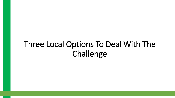## Three Local Options To Deal With The Challenge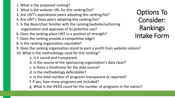- 1. What is the proposed ranking?
- 2. What is the website URL for this ranking/list?
- 3. Are UNT's aspirational peers adopting this ranking/list?
- 4. Are UNT's Texas peers adopting this ranking/list?
- 5. Is the dean/chair familiar with the ranking/website/authoring organization and approves of its potential use?
- 6. Does the ranking place UNT in a position of strength?
- 7. Does the ranking provide a competitive edge?
- 8. Is the ranking organization reputable?
- 9. Does the ranking organization stand to earn a profit from website visitors?
- 10. What is the methodology used for this ranking?
	- a. Is it sound and transparent
	- b. Is the source of the sponsoring organization's data clear?
	- c. Is there a timeframe for the data source?
	- d. Is the methodology defendable?
	- e. Is the total number of programs transparent or reported?
	- f. If yes, how many programs are included?
	- g. What is the IPEDS count for the number of programs in the nation?

Options To Consider: Rankings Intake Form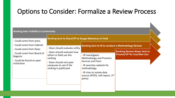### Options to Consider: Formalize a Review Process

| <b>Ranking Gets Visibility in Community</b>                                                                                                                        |                                                                                                                                                                                                                                                 |                                                                                                                                                                                                                                                                      |                                                                          |
|--------------------------------------------------------------------------------------------------------------------------------------------------------------------|-------------------------------------------------------------------------------------------------------------------------------------------------------------------------------------------------------------------------------------------------|----------------------------------------------------------------------------------------------------------------------------------------------------------------------------------------------------------------------------------------------------------------------|--------------------------------------------------------------------------|
| - Could come from press<br>- Could come from Cabinet<br>- Could come from Dean<br>- Could come from Board of<br>Regents<br>- Could be found on peer<br>institution | <b>Ranking Sent to Dean/VP to Gauge Relevance In Field</b><br>- Dean should evaluate utility<br>- Dean should evaluate how<br>others in field use the<br>ranking<br>- Dean should visit peer<br>campuses to see if the<br>ranking is publicized | <b>Ranking Sent to IR to conduct a Methodology Review</b><br>- IR investigates<br><b>Methodology and Presents</b><br><b>Sources and Facts</b><br>- IR searches website for<br>methodology<br>- IR tries to isolate data<br>source (IPEDS, self-report, 3rd<br>party) | <b>Ranking Review Notes Sent to</b><br><b>Provost/VP for Use/Non-Use</b> |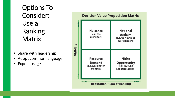Options To Consider: Use a Ranking **Matrix** 

- Share with leadership
- Adopt common language
- Expect usage

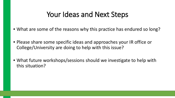### Your Ideas and Next Steps

- What are some of the reasons why this practice has endured so long?
- Please share some specific ideas and approaches your IR office or College/University are doing to help with this issue?
- What future workshops/sessions should we investigate to help with this situation?